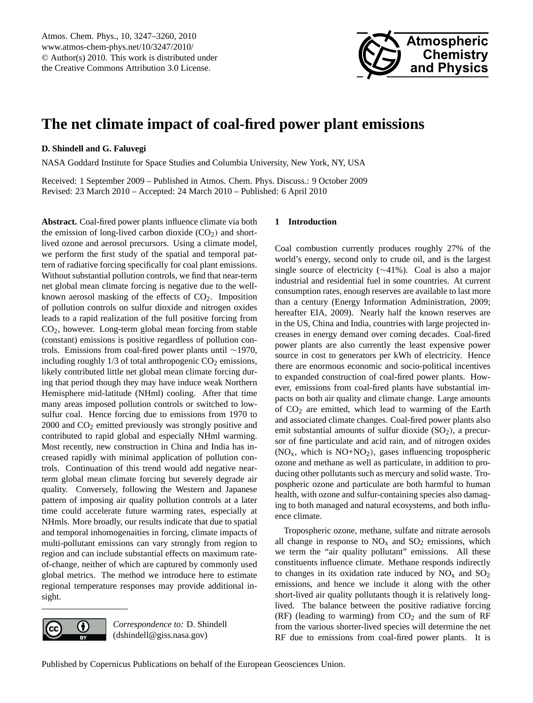

# <span id="page-0-0"></span>**The net climate impact of coal-fired power plant emissions**

# **D. Shindell and G. Faluvegi**

NASA Goddard Institute for Space Studies and Columbia University, New York, NY, USA

Received: 1 September 2009 – Published in Atmos. Chem. Phys. Discuss.: 9 October 2009 Revised: 23 March 2010 – Accepted: 24 March 2010 – Published: 6 April 2010

**Abstract.** Coal-fired power plants influence climate via both the emission of long-lived carbon dioxide  $(CO<sub>2</sub>)$  and shortlived ozone and aerosol precursors. Using a climate model, we perform the first study of the spatial and temporal pattern of radiative forcing specifically for coal plant emissions. Without substantial pollution controls, we find that near-term net global mean climate forcing is negative due to the wellknown aerosol masking of the effects of  $CO<sub>2</sub>$ . Imposition of pollution controls on sulfur dioxide and nitrogen oxides leads to a rapid realization of the full positive forcing from CO2, however. Long-term global mean forcing from stable (constant) emissions is positive regardless of pollution controls. Emissions from coal-fired power plants until ∼1970, including roughly  $1/3$  of total anthropogenic  $CO<sub>2</sub>$  emissions, likely contributed little net global mean climate forcing during that period though they may have induce weak Northern Hemisphere mid-latitude (NHml) cooling. After that time many areas imposed pollution controls or switched to lowsulfur coal. Hence forcing due to emissions from 1970 to 2000 and CO<sup>2</sup> emitted previously was strongly positive and contributed to rapid global and especially NHml warming. Most recently, new construction in China and India has increased rapidly with minimal application of pollution controls. Continuation of this trend would add negative nearterm global mean climate forcing but severely degrade air quality. Conversely, following the Western and Japanese pattern of imposing air quality pollution controls at a later time could accelerate future warming rates, especially at NHmls. More broadly, our results indicate that due to spatial and temporal inhomogenaities in forcing, climate impacts of multi-pollutant emissions can vary strongly from region to region and can include substantial effects on maximum rateof-change, neither of which are captured by commonly used global metrics. The method we introduce here to estimate regional temperature responses may provide additional insight.



*Correspondence to:* D. Shindell (dshindell@giss.nasa.gov)

# **1 Introduction**

Coal combustion currently produces roughly 27% of the world's energy, second only to crude oil, and is the largest single source of electricity (∼41%). Coal is also a major industrial and residential fuel in some countries. At current consumption rates, enough reserves are available to last more than a century (Energy Information Administration, 2009; hereafter EIA, 2009). Nearly half the known reserves are in the US, China and India, countries with large projected increases in energy demand over coming decades. Coal-fired power plants are also currently the least expensive power source in cost to generators per kWh of electricity. Hence there are enormous economic and socio-political incentives to expanded construction of coal-fired power plants. However, emissions from coal-fired plants have substantial impacts on both air quality and climate change. Large amounts of  $CO<sub>2</sub>$  are emitted, which lead to warming of the Earth and associated climate changes. Coal-fired power plants also emit substantial amounts of sulfur dioxide  $(SO<sub>2</sub>)$ , a precursor of fine particulate and acid rain, and of nitrogen oxides  $(NO<sub>x</sub>, which is NO+NO<sub>2</sub>)$ , gases influencing tropospheric ozone and methane as well as particulate, in addition to producing other pollutants such as mercury and solid waste. Tropospheric ozone and particulate are both harmful to human health, with ozone and sulfur-containing species also damaging to both managed and natural ecosystems, and both influence climate.

Tropospheric ozone, methane, sulfate and nitrate aerosols all change in response to  $NO<sub>x</sub>$  and  $SO<sub>2</sub>$  emissions, which we term the "air quality pollutant" emissions. All these constituents influence climate. Methane responds indirectly to changes in its oxidation rate induced by  $NO<sub>x</sub>$  and  $SO<sub>2</sub>$ emissions, and hence we include it along with the other short-lived air quality pollutants though it is relatively longlived. The balance between the positive radiative forcing (RF) (leading to warming) from  $CO<sub>2</sub>$  and the sum of RF from the various shorter-lived species will determine the net RF due to emissions from coal-fired power plants. It is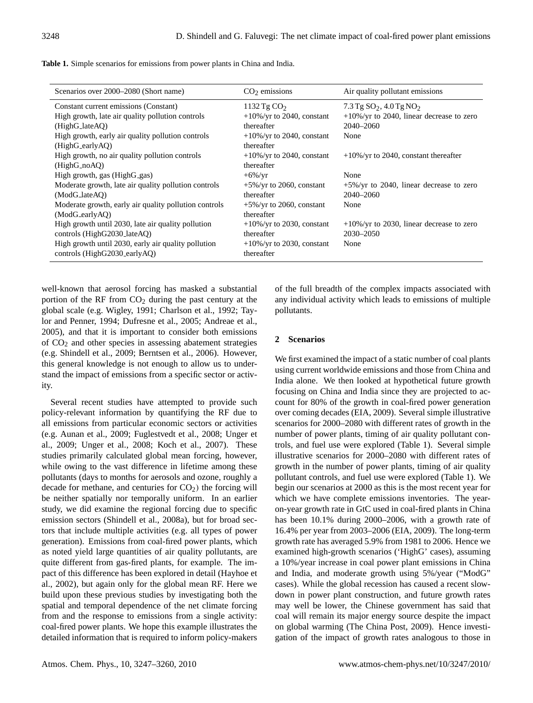|  |  |  |  | Table 1. Simple scenarios for emissions from power plants in China and India. |
|--|--|--|--|-------------------------------------------------------------------------------|
|--|--|--|--|-------------------------------------------------------------------------------|

| Scenarios over 2000–2080 (Short name)                 | $CO2$ emissions               | Air quality pollutant emissions              |
|-------------------------------------------------------|-------------------------------|----------------------------------------------|
| Constant current emissions (Constant)                 | 1132 Tg $CO2$                 | 7.3 Tg $SO_2$ , 4.0 Tg NO <sub>2</sub>       |
| High growth, late air quality pollution controls      | $+10\%$ /yr to 2040, constant | $+10\%$ /yr to 2040, linear decrease to zero |
| (HighG_lateAQ)                                        | thereafter                    | $2040 - 2060$                                |
| High growth, early air quality pollution controls     | $+10\%$ /yr to 2040, constant | None                                         |
| (HighG_earlyAQ)                                       | thereafter                    |                                              |
| High growth, no air quality pollution controls        | $+10\%$ /yr to 2040, constant | $+10\%$ /yr to 2040, constant thereafter     |
| (HighG.noAO)                                          | thereafter                    |                                              |
| High growth, gas (HighG_gas)                          | $+6\%$ /yr                    | None                                         |
| Moderate growth, late air quality pollution controls  | $+5\%/yr$ to 2060, constant   | $+5\%$ /yr to 2040, linear decrease to zero  |
| (ModG_lateAO)                                         | thereafter                    | $2040 - 2060$                                |
| Moderate growth, early air quality pollution controls | $+5\%$ /yr to 2060, constant  | None                                         |
| (ModG_earlyAO)                                        | thereafter                    |                                              |
| High growth until 2030, late air quality pollution    | $+10\%$ /yr to 2030, constant | $+10\%$ /yr to 2030, linear decrease to zero |
| controls (HighG2030_lateAQ)                           | thereafter                    | 2030-2050                                    |
| High growth until 2030, early air quality pollution   | $+10\%$ /yr to 2030, constant | None                                         |
| controls (HighG2030_earlyAQ)                          | thereafter                    |                                              |

well-known that aerosol forcing has masked a substantial portion of the RF from  $CO<sub>2</sub>$  during the past century at the global scale (e.g. Wigley, 1991; Charlson et al., 1992; Taylor and Penner, 1994; Dufresne et al., 2005; Andreae et al., 2005), and that it is important to consider both emissions of CO<sup>2</sup> and other species in assessing abatement strategies (e.g. Shindell et al., 2009; Berntsen et al., 2006). However, this general knowledge is not enough to allow us to understand the impact of emissions from a specific sector or activity.

Several recent studies have attempted to provide such policy-relevant information by quantifying the RF due to all emissions from particular economic sectors or activities (e.g. Aunan et al., 2009; Fuglestvedt et al., 2008; Unger et al., 2009; Unger et al., 2008; Koch et al., 2007). These studies primarily calculated global mean forcing, however, while owing to the vast difference in lifetime among these pollutants (days to months for aerosols and ozone, roughly a decade for methane, and centuries for  $CO<sub>2</sub>$ ) the forcing will be neither spatially nor temporally uniform. In an earlier study, we did examine the regional forcing due to specific emission sectors (Shindell et al., 2008a), but for broad sectors that include multiple activities (e.g. all types of power generation). Emissions from coal-fired power plants, which as noted yield large quantities of air quality pollutants, are quite different from gas-fired plants, for example. The impact of this difference has been explored in detail (Hayhoe et al., 2002), but again only for the global mean RF. Here we build upon these previous studies by investigating both the spatial and temporal dependence of the net climate forcing from and the response to emissions from a single activity: coal-fired power plants. We hope this example illustrates the detailed information that is required to inform policy-makers of the full breadth of the complex impacts associated with any individual activity which leads to emissions of multiple pollutants.

# **2 Scenarios**

We first examined the impact of a static number of coal plants using current worldwide emissions and those from China and India alone. We then looked at hypothetical future growth focusing on China and India since they are projected to account for 80% of the growth in coal-fired power generation over coming decades (EIA, 2009). Several simple illustrative scenarios for 2000–2080 with different rates of growth in the number of power plants, timing of air quality pollutant controls, and fuel use were explored (Table 1). Several simple illustrative scenarios for 2000–2080 with different rates of growth in the number of power plants, timing of air quality pollutant controls, and fuel use were explored (Table 1). We begin our scenarios at 2000 as this is the most recent year for which we have complete emissions inventories. The yearon-year growth rate in GtC used in coal-fired plants in China has been 10.1% during 2000–2006, with a growth rate of 16.4% per year from 2003–2006 (EIA, 2009). The long-term growth rate has averaged 5.9% from 1981 to 2006. Hence we examined high-growth scenarios ('HighG' cases), assuming a 10%/year increase in coal power plant emissions in China and India, and moderate growth using 5%/year ("ModG" cases). While the global recession has caused a recent slowdown in power plant construction, and future growth rates may well be lower, the Chinese government has said that coal will remain its major energy source despite the impact on global warming (The China Post, 2009). Hence investigation of the impact of growth rates analogous to those in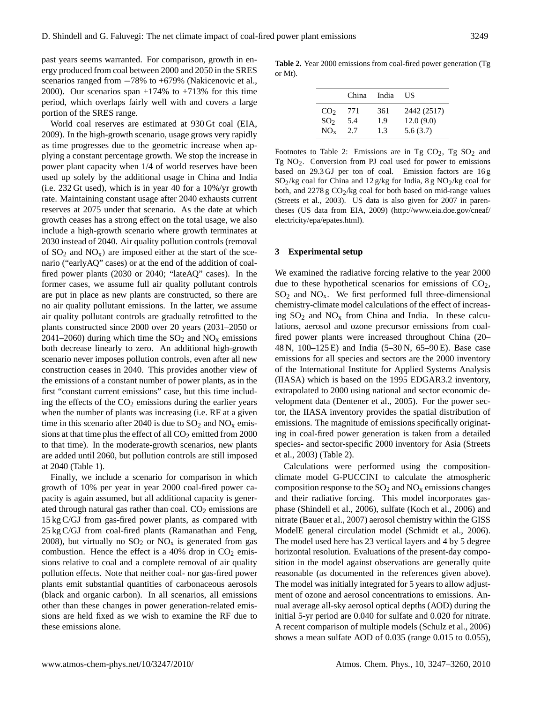past years seems warranted. For comparison, growth in energy produced from coal between 2000 and 2050 in the SRES scenarios ranged from  $-78%$  to  $+679%$  (Nakicenovic et al., 2000). Our scenarios span  $+174\%$  to  $+713\%$  for this time period, which overlaps fairly well with and covers a large portion of the SRES range.

World coal reserves are estimated at 930 Gt coal (EIA, 2009). In the high-growth scenario, usage grows very rapidly as time progresses due to the geometric increase when applying a constant percentage growth. We stop the increase in power plant capacity when 1/4 of world reserves have been used up solely by the additional usage in China and India (i.e. 232 Gt used), which is in year 40 for a 10%/yr growth rate. Maintaining constant usage after 2040 exhausts current reserves at 2075 under that scenario. As the date at which growth ceases has a strong effect on the total usage, we also include a high-growth scenario where growth terminates at 2030 instead of 2040. Air quality pollution controls (removal of  $SO_2$  and  $NO_x$ ) are imposed either at the start of the scenario ("earlyAQ" cases) or at the end of the addition of coalfired power plants (2030 or 2040; "lateAQ" cases). In the former cases, we assume full air quality pollutant controls are put in place as new plants are constructed, so there are no air quality pollutant emissions. In the latter, we assume air quality pollutant controls are gradually retrofitted to the plants constructed since 2000 over 20 years (2031–2050 or 2041–2060) during which time the  $SO_2$  and  $NO_x$  emissions both decrease linearly to zero. An additional high-growth scenario never imposes pollution controls, even after all new construction ceases in 2040. This provides another view of the emissions of a constant number of power plants, as in the first "constant current emissions" case, but this time including the effects of the  $CO<sub>2</sub>$  emissions during the earlier years when the number of plants was increasing (i.e. RF at a given time in this scenario after 2040 is due to  $SO_2$  and  $NO_x$  emissions at that time plus the effect of all  $CO<sub>2</sub>$  emitted from 2000 to that time). In the moderate-growth scenarios, new plants are added until 2060, but pollution controls are still imposed at 2040 (Table 1).

Finally, we include a scenario for comparison in which growth of 10% per year in year 2000 coal-fired power capacity is again assumed, but all additional capacity is generated through natural gas rather than coal.  $CO<sub>2</sub>$  emissions are 15 kg C/GJ from gas-fired power plants, as compared with 25 kg C/GJ from coal-fired plants (Ramanathan and Feng, 2008), but virtually no  $SO_2$  or  $NO_x$  is generated from gas combustion. Hence the effect is a 40% drop in  $CO<sub>2</sub>$  emissions relative to coal and a complete removal of air quality pollution effects. Note that neither coal- nor gas-fired power plants emit substantial quantities of carbonaceous aerosols (black and organic carbon). In all scenarios, all emissions other than these changes in power generation-related emissions are held fixed as we wish to examine the RF due to these emissions alone.

**Table 2.** Year 2000 emissions from coal-fired power generation (Tg or Mt).

|                 | China | India | US          |
|-----------------|-------|-------|-------------|
| CO <sub>2</sub> | 771   | 361   | 2442 (2517) |
| SO <sub>2</sub> | 5.4   | 1.9   | 12.0(9.0)   |
| $NO_{x}$        | 2.7   | 1.3   | 5.6(3.7)    |

Footnotes to Table 2: Emissions are in Tg  $CO<sub>2</sub>$ , Tg  $SO<sub>2</sub>$  and Tg  $NO<sub>2</sub>$ . Conversion from PJ coal used for power to emissions based on 29.3 GJ per ton of coal. Emission factors are 16 g  $SO_2$ /kg coal for China and 12 g/kg for India, 8 g NO<sub>2</sub>/kg coal for both, and  $2278 g CO<sub>2</sub>/kg$  coal for both based on mid-range values (Streets et al., 2003). US data is also given for 2007 in parentheses (US data from EIA, 2009) [\(http://www.eia.doe.gov/cneaf/](http://www.eia.doe.gov/cneaf/electricity/epa/epates.html) [electricity/epa/epates.html\)](http://www.eia.doe.gov/cneaf/electricity/epa/epates.html).

### **3 Experimental setup**

We examined the radiative forcing relative to the year 2000 due to these hypothetical scenarios for emissions of  $CO<sub>2</sub>$ ,  $SO<sub>2</sub>$  and  $NO<sub>x</sub>$ . We first performed full three-dimensional chemistry-climate model calculations of the effect of increasing  $SO_2$  and  $NO_x$  from China and India. In these calculations, aerosol and ozone precursor emissions from coalfired power plants were increased throughout China (20– 48 N, 100–125 E) and India (5–30 N, 65–90 E). Base case emissions for all species and sectors are the 2000 inventory of the International Institute for Applied Systems Analysis (IIASA) which is based on the 1995 EDGAR3.2 inventory, extrapolated to 2000 using national and sector economic development data (Dentener et al., 2005). For the power sector, the IIASA inventory provides the spatial distribution of emissions. The magnitude of emissions specifically originating in coal-fired power generation is taken from a detailed species- and sector-specific 2000 inventory for Asia (Streets et al., 2003) (Table 2).

Calculations were performed using the compositionclimate model G-PUCCINI to calculate the atmospheric composition response to the  $SO_2$  and  $NO_x$  emissions changes and their radiative forcing. This model incorporates gasphase (Shindell et al., 2006), sulfate (Koch et al., 2006) and nitrate (Bauer et al., 2007) aerosol chemistry within the GISS ModelE general circulation model (Schmidt et al., 2006). The model used here has 23 vertical layers and 4 by 5 degree horizontal resolution. Evaluations of the present-day composition in the model against observations are generally quite reasonable (as documented in the references given above). The model was initially integrated for 5 years to allow adjustment of ozone and aerosol concentrations to emissions. Annual average all-sky aerosol optical depths (AOD) during the initial 5-yr period are 0.040 for sulfate and 0.020 for nitrate. A recent comparison of multiple models (Schulz et al., 2006) shows a mean sulfate AOD of 0.035 (range 0.015 to 0.055),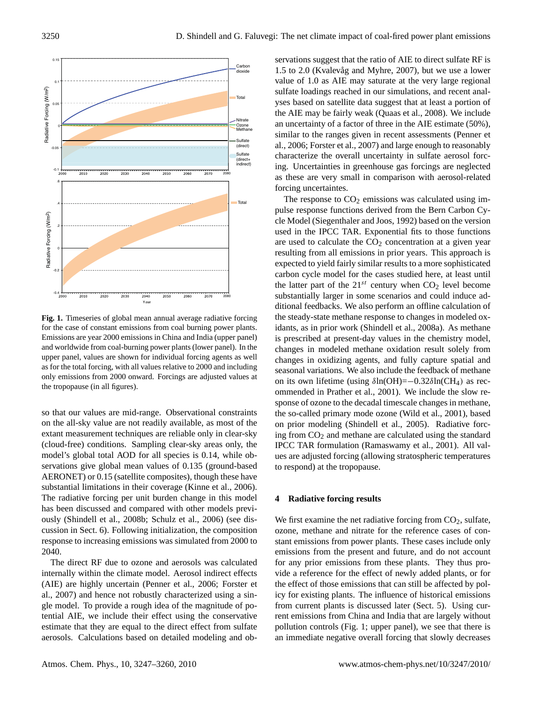

**Fig. 1.** Timeseries of global mean annual average radiative forcing for the case of constant emissions from coal burning power plants. Emissions are year 2000 emissions in China and India (upper panel) and worldwide from coal-burning power plants (lower panel). In the upper panel, values are shown for individual forcing agents as well as for the total forcing, with all values relative to 2000 and including only emissions from 2000 onward. Forcings are adjusted values at the tropopause (in all figures).

so that our values are mid-range. Observational constraints on the all-sky value are not readily available, as most of the extant measurement techniques are reliable only in clear-sky (cloud-free) conditions. Sampling clear-sky areas only, the model's global total AOD for all species is 0.14, while observations give global mean values of 0.135 (ground-based AERONET) or 0.15 (satellite composites), though these have substantial limitations in their coverage (Kinne et al., 2006). The radiative forcing per unit burden change in this model has been discussed and compared with other models previously (Shindell et al., 2008b; Schulz et al., 2006) (see discussion in Sect. 6). Following initialization, the composition response to increasing emissions was simulated from 2000 to 2040.

The direct RF due to ozone and aerosols was calculated internally within the climate model. Aerosol indirect effects (AIE) are highly uncertain (Penner et al., 2006; Forster et al., 2007) and hence not robustly characterized using a single model. To provide a rough idea of the magnitude of potential AIE, we include their effect using the conservative estimate that they are equal to the direct effect from sulfate aerosols. Calculations based on detailed modeling and observations suggest that the ratio of AIE to direct sulfate RF is  $1.5$  to  $2.0$  (Kvalevåg and Myhre,  $2007$ ), but we use a lower value of 1.0 as AIE may saturate at the very large regional sulfate loadings reached in our simulations, and recent analyses based on satellite data suggest that at least a portion of the AIE may be fairly weak (Quaas et al., 2008). We include an uncertainty of a factor of three in the AIE estimate (50%), similar to the ranges given in recent assessments (Penner et al., 2006; Forster et al., 2007) and large enough to reasonably characterize the overall uncertainty in sulfate aerosol forcing. Uncertainties in greenhouse gas forcings are neglected as these are very small in comparison with aerosol-related forcing uncertaintes.

The response to  $CO<sub>2</sub>$  emissions was calculated using impulse response functions derived from the Bern Carbon Cycle Model (Siegenthaler and Joos, 1992) based on the version used in the IPCC TAR. Exponential fits to those functions are used to calculate the  $CO<sub>2</sub>$  concentration at a given year resulting from all emissions in prior years. This approach is expected to yield fairly similar results to a more sophisticated carbon cycle model for the cases studied here, at least until the latter part of the  $21^{st}$  century when  $CO<sub>2</sub>$  level become substantially larger in some scenarios and could induce additional feedbacks. We also perform an offline calculation of the steady-state methane response to changes in modeled oxidants, as in prior work (Shindell et al., 2008a). As methane is prescribed at present-day values in the chemistry model, changes in modeled methane oxidation result solely from changes in oxidizing agents, and fully capture spatial and seasonal variations. We also include the feedback of methane on its own lifetime (using  $\delta$ ln(OH)=−0.32 $\delta$ ln(CH<sub>4</sub>) as recommended in Prather et al., 2001). We include the slow response of ozone to the decadal timescale changes in methane, the so-called primary mode ozone (Wild et al., 2001), based on prior modeling (Shindell et al., 2005). Radiative forcing from  $CO<sub>2</sub>$  and methane are calculated using the standard IPCC TAR formulation (Ramaswamy et al., 2001). All values are adjusted forcing (allowing stratospheric temperatures to respond) at the tropopause.

#### **4 Radiative forcing results**

We first examine the net radiative forcing from  $CO<sub>2</sub>$ , sulfate, ozone, methane and nitrate for the reference cases of constant emissions from power plants. These cases include only emissions from the present and future, and do not account for any prior emissions from these plants. They thus provide a reference for the effect of newly added plants, or for the effect of those emissions that can still be affected by policy for existing plants. The influence of historical emissions from current plants is discussed later (Sect. 5). Using current emissions from China and India that are largely without pollution controls (Fig. 1; upper panel), we see that there is an immediate negative overall forcing that slowly decreases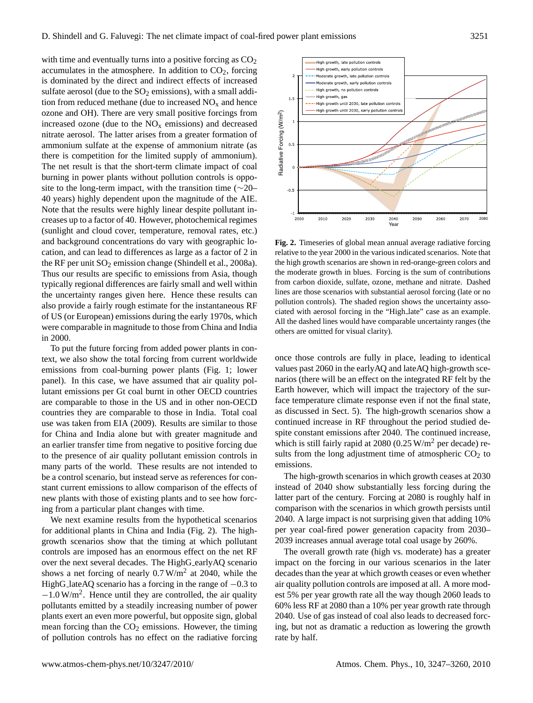with time and eventually turns into a positive forcing as  $CO<sub>2</sub>$ accumulates in the atmosphere. In addition to  $CO<sub>2</sub>$ , forcing is dominated by the direct and indirect effects of increased sulfate aerosol (due to the  $SO<sub>2</sub>$  emissions), with a small addition from reduced methane (due to increased  $NO<sub>x</sub>$  and hence ozone and OH). There are very small positive forcings from increased ozone (due to the  $NO<sub>x</sub>$  emissions) and decreased nitrate aerosol. The latter arises from a greater formation of ammonium sulfate at the expense of ammonium nitrate (as there is competition for the limited supply of ammonium). The net result is that the short-term climate impact of coal burning in power plants without pollution controls is opposite to the long-term impact, with the transition time (∼20– 40 years) highly dependent upon the magnitude of the AIE. Note that the results were highly linear despite pollutant increases up to a factor of 40. However, photochemical regimes (sunlight and cloud cover, temperature, removal rates, etc.) and background concentrations do vary with geographic location, and can lead to differences as large as a factor of 2 in the RF per unit  $SO_2$  emission change (Shindell et al., 2008a). Thus our results are specific to emissions from Asia, though typically regional differences are fairly small and well within the uncertainty ranges given here. Hence these results can also provide a fairly rough estimate for the instantaneous RF of US (or European) emissions during the early 1970s, which were comparable in magnitude to those from China and India in 2000.

To put the future forcing from added power plants in context, we also show the total forcing from current worldwide emissions from coal-burning power plants (Fig. 1; lower panel). In this case, we have assumed that air quality pollutant emissions per Gt coal burnt in other OECD countries are comparable to those in the US and in other non-OECD countries they are comparable to those in India. Total coal use was taken from EIA (2009). Results are similar to those for China and India alone but with greater magnitude and an earlier transfer time from negative to positive forcing due to the presence of air quality pollutant emission controls in many parts of the world. These results are not intended to be a control scenario, but instead serve as references for constant current emissions to allow comparison of the effects of new plants with those of existing plants and to see how forcing from a particular plant changes with time.

We next examine results from the hypothetical scenarios for additional plants in China and India (Fig. 2). The highgrowth scenarios show that the timing at which pollutant controls are imposed has an enormous effect on the net RF over the next several decades. The HighG\_earlyAQ scenario shows a net forcing of nearly  $0.7 \text{ W/m}^2$  at 2040, while the HighG lateAQ scenario has a forcing in the range of −0.3 to −1.0 W/m<sup>2</sup> . Hence until they are controlled, the air quality pollutants emitted by a steadily increasing number of power plants exert an even more powerful, but opposite sign, global mean forcing than the  $CO<sub>2</sub>$  emissions. However, the timing of pollution controls has no effect on the radiative forcing



**Fig. 2.** Timeseries of global mean annual average radiative forcing relative to the year 2000 in the various indicated scenarios. Note that the high growth scenarios are shown in red-orange-green colors and the moderate growth in blues. Forcing is the sum of contributions from carbon dioxide, sulfate, ozone, methane and nitrate. Dashed lines are those scenarios with substantial aerosol forcing (late or no pollution controls). The shaded region shows the uncertainty associated with aerosol forcing in the "High late" case as an example. All the dashed lines would have comparable uncertainty ranges (the others are omitted for visual clarity).

once those controls are fully in place, leading to identical values past 2060 in the earlyAQ and lateAQ high-growth scenarios (there will be an effect on the integrated RF felt by the Earth however, which will impact the trajectory of the surface temperature climate response even if not the final state, as discussed in Sect. 5). The high-growth scenarios show a continued increase in RF throughout the period studied despite constant emissions after 2040. The continued increase, which is still fairly rapid at 2080 (0.25  $W/m<sup>2</sup>$  per decade) results from the long adjustment time of atmospheric  $CO<sub>2</sub>$  to emissions.

The high-growth scenarios in which growth ceases at 2030 instead of 2040 show substantially less forcing during the latter part of the century. Forcing at 2080 is roughly half in comparison with the scenarios in which growth persists until 2040. A large impact is not surprising given that adding 10% per year coal-fired power generation capacity from 2030– 2039 increases annual average total coal usage by 260%.

The overall growth rate (high vs. moderate) has a greater impact on the forcing in our various scenarios in the later decades than the year at which growth ceases or even whether air quality pollution controls are imposed at all. A more modest 5% per year growth rate all the way though 2060 leads to 60% less RF at 2080 than a 10% per year growth rate through 2040. Use of gas instead of coal also leads to decreased forcing, but not as dramatic a reduction as lowering the growth rate by half.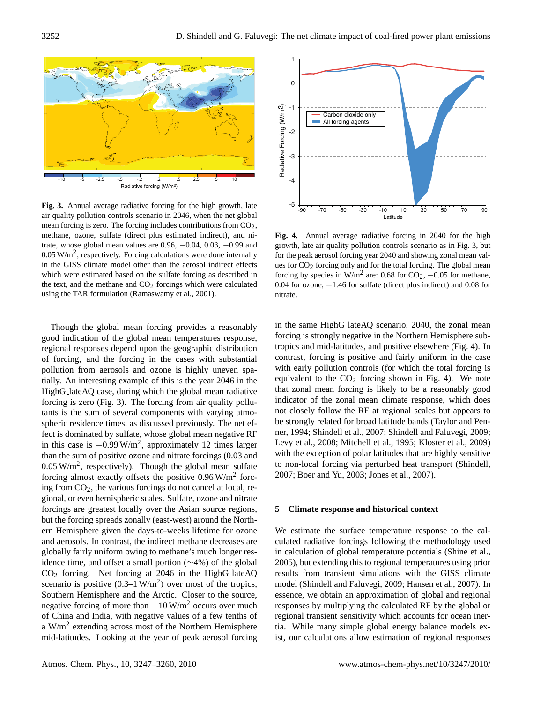

**Fig. 3.** Annual average radiative forcing for the high growth, late air quality pollution controls scenario in 2046, when the net global mean forcing is zero. The forcing includes contributions from CO2, methane, ozone, sulfate (direct plus estimated indirect), and nitrate, whose global mean values are 0.96, −0.04, 0.03, −0.99 and  $0.05 \text{ W/m}^2$ , respectively. Forcing calculations were done internally in the GISS climate model other than the aerosol indirect effects which were estimated based on the sulfate forcing as described in the text, and the methane and  $CO<sub>2</sub>$  forcings which were calculated using the TAR formulation (Ramaswamy et al., 2001).

Though the global mean forcing provides a reasonably good indication of the global mean temperatures response, regional responses depend upon the geographic distribution of forcing, and the forcing in the cases with substantial pollution from aerosols and ozone is highly uneven spatially. An interesting example of this is the year 2046 in the HighG lateAQ case, during which the global mean radiative forcing is zero (Fig. 3). The forcing from air quality pollutants is the sum of several components with varying atmospheric residence times, as discussed previously. The net effect is dominated by sulfate, whose global mean negative RF in this case is  $-0.99 \text{ W/m}^2$ , approximately 12 times larger than the sum of positive ozone and nitrate forcings (0.03 and  $0.05 \text{ W/m}^2$ , respectively). Though the global mean sulfate forcing almost exactly offsets the positive  $0.96 \text{ W/m}^2$  forcing from CO2, the various forcings do not cancel at local, regional, or even hemispheric scales. Sulfate, ozone and nitrate forcings are greatest locally over the Asian source regions, but the forcing spreads zonally (east-west) around the Northern Hemisphere given the days-to-weeks lifetime for ozone and aerosols. In contrast, the indirect methane decreases are globally fairly uniform owing to methane's much longer residence time, and offset a small portion (∼4%) of the global CO<sup>2</sup> forcing. Net forcing at 2046 in the HighG lateAQ scenario is positive  $(0.3-1 \text{ W/m}^2)$  over most of the tropics, Southern Hemisphere and the Arctic. Closer to the source, negative forcing of more than  $-10$  W/m<sup>2</sup> occurs over much of China and India, with negative values of a few tenths of a  $W/m<sup>2</sup>$  extending across most of the Northern Hemisphere mid-latitudes. Looking at the year of peak aerosol forcing



**Fig. 4.** Annual average radiative forcing in 2040 for the high growth, late air quality pollution controls scenario as in Fig. 3, but for the peak aerosol forcing year 2040 and showing zonal mean values for  $CO<sub>2</sub>$  forcing only and for the total forcing. The global mean forcing by species in W/m<sup>2</sup> are: 0.68 for  $CO_2$ ,  $-0.05$  for methane, 0.04 for ozone, −1.46 for sulfate (direct plus indirect) and 0.08 for nitrate.

in the same HighG lateAQ scenario, 2040, the zonal mean forcing is strongly negative in the Northern Hemisphere subtropics and mid-latitudes, and positive elsewhere (Fig. 4). In contrast, forcing is positive and fairly uniform in the case with early pollution controls (for which the total forcing is equivalent to the  $CO<sub>2</sub>$  forcing shown in Fig. 4). We note that zonal mean forcing is likely to be a reasonably good indicator of the zonal mean climate response, which does not closely follow the RF at regional scales but appears to be strongly related for broad latitude bands (Taylor and Penner, 1994; Shindell et al., 2007; Shindell and Faluvegi, 2009; Levy et al., 2008; Mitchell et al., 1995; Kloster et al., 2009) with the exception of polar latitudes that are highly sensitive to non-local forcing via perturbed heat transport (Shindell, 2007; Boer and Yu, 2003; Jones et al., 2007).

## **5 Climate response and historical context**

We estimate the surface temperature response to the calculated radiative forcings following the methodology used in calculation of global temperature potentials (Shine et al., 2005), but extending this to regional temperatures using prior results from transient simulations with the GISS climate model (Shindell and Faluvegi, 2009; Hansen et al., 2007). In essence, we obtain an approximation of global and regional responses by multiplying the calculated RF by the global or regional transient sensitivity which accounts for ocean inertia. While many simple global energy balance models exist, our calculations allow estimation of regional responses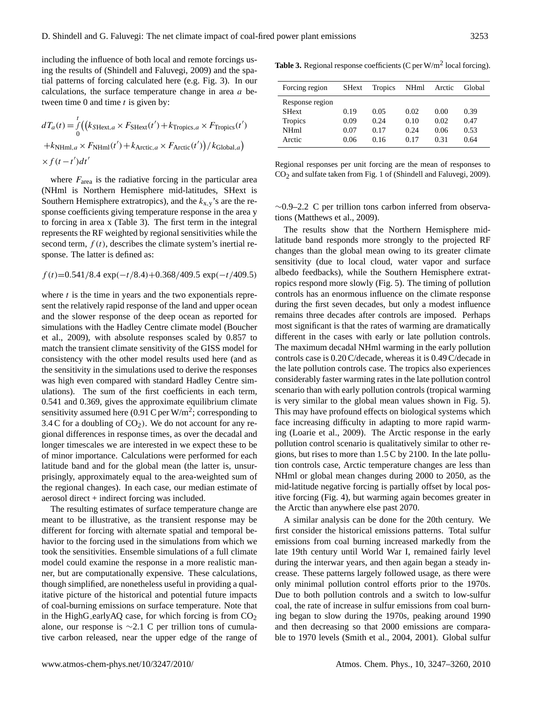including the influence of both local and remote forcings using the results of (Shindell and Faluvegi, 2009) and the spatial patterns of forcing calculated here (e.g. Fig. 3). In our calculations, the surface temperature change in area  $a$  between time 0 and time  $t$  is given by:

$$
dT_a(t) = \int_0^t \left( \left( k_{\text{SHext},a} \times F_{\text{SHext}}(t') + k_{\text{Tropics},a} \times F_{\text{Tropics}}(t') \right) \right. \\ \left. + k_{\text{NHml},a} \times F_{\text{NHml}}(t') + k_{\text{Arctic},a} \times F_{\text{Arctic}}(t') \right) / k_{\text{Global},a} \right) \\ \times f(t - t') dt'
$$

where  $F_{\text{area}}$  is the radiative forcing in the particular area (NHml is Northern Hemisphere mid-latitudes, SHext is Southern Hemisphere extratropics), and the  $k_{x,y}$ 's are the response coefficients giving temperature response in the area y to forcing in area x (Table 3). The first term in the integral represents the RF weighted by regional sensitivities while the second term,  $f(t)$ , describes the climate system's inertial response. The latter is defined as:

$$
f(t)=0.541/8.4 \exp(-t/8.4)+0.368/409.5 \exp(-t/409.5)
$$

where  $t$  is the time in years and the two exponentials represent the relatively rapid response of the land and upper ocean and the slower response of the deep ocean as reported for simulations with the Hadley Centre climate model (Boucher et al., 2009), with absolute responses scaled by 0.857 to match the transient climate sensitivity of the GISS model for consistency with the other model results used here (and as the sensitivity in the simulations used to derive the responses was high even compared with standard Hadley Centre simulations). The sum of the first coefficients in each term, 0.541 and 0.369, gives the approximate equilibrium climate sensitivity assumed here (0.91 C per W/m<sup>2</sup>; corresponding to 3.4 C for a doubling of  $CO<sub>2</sub>$ ). We do not account for any regional differences in response times, as over the decadal and longer timescales we are interested in we expect these to be of minor importance. Calculations were performed for each latitude band and for the global mean (the latter is, unsurprisingly, approximately equal to the area-weighted sum of the regional changes). In each case, our median estimate of aerosol direct  $+$  indirect forcing was included.

The resulting estimates of surface temperature change are meant to be illustrative, as the transient response may be different for forcing with alternate spatial and temporal behavior to the forcing used in the simulations from which we took the sensitivities. Ensemble simulations of a full climate model could examine the response in a more realistic manner, but are computationally expensive. These calculations, though simplified, are nonetheless useful in providing a qualitative picture of the historical and potential future impacts of coal-burning emissions on surface temperature. Note that in the HighG earlyAQ case, for which forcing is from  $CO<sub>2</sub>$ alone, our response is ∼2.1 C per trillion tons of cumulative carbon released, near the upper edge of the range of

Table 3. Regional response coefficients (C per W/m<sup>2</sup> local forcing).

| Forcing region                                                      | <b>SHext</b>                 | Tropics                      | <b>NHml</b>                  | Arctic                       | Global                       |
|---------------------------------------------------------------------|------------------------------|------------------------------|------------------------------|------------------------------|------------------------------|
| Response region<br><b>SHext</b><br>Tropics<br><b>NHml</b><br>Arctic | 0.19<br>0.09<br>0.07<br>0.06 | 0.05<br>0.24<br>0.17<br>0.16 | 0.02<br>0.10<br>0.24<br>0.17 | 0.00<br>0.02<br>0.06<br>0.31 | 0.39<br>0.47<br>0.53<br>0.64 |

Regional responses per unit forcing are the mean of responses to CO2 and sulfate taken from Fig. 1 of (Shindell and Faluvegi, 2009).

∼0.9–2.2 C per trillion tons carbon inferred from observations (Matthews et al., 2009).

The results show that the Northern Hemisphere midlatitude band responds more strongly to the projected RF changes than the global mean owing to its greater climate sensitivity (due to local cloud, water vapor and surface albedo feedbacks), while the Southern Hemisphere extratropics respond more slowly (Fig. 5). The timing of pollution controls has an enormous influence on the climate response during the first seven decades, but only a modest influence remains three decades after controls are imposed. Perhaps most significant is that the rates of warming are dramatically different in the cases with early or late pollution controls. The maximum decadal NHml warming in the early pollution controls case is 0.20 C/decade, whereas it is 0.49 C/decade in the late pollution controls case. The tropics also experiences considerably faster warming rates in the late pollution control scenario than with early pollution controls (tropical warming is very similar to the global mean values shown in Fig. 5). This may have profound effects on biological systems which face increasing difficulty in adapting to more rapid warming (Loarie et al., 2009). The Arctic response in the early pollution control scenario is qualitatively similar to other regions, but rises to more than 1.5 C by 2100. In the late pollution controls case, Arctic temperature changes are less than NHml or global mean changes during 2000 to 2050, as the mid-latitude negative forcing is partially offset by local positive forcing (Fig. 4), but warming again becomes greater in the Arctic than anywhere else past 2070.

A similar analysis can be done for the 20th century. We first consider the historical emissions patterns. Total sulfur emissions from coal burning increased markedly from the late 19th century until World War I, remained fairly level during the interwar years, and then again began a steady increase. These patterns largely followed usage, as there were only minimal pollution control efforts prior to the 1970s. Due to both pollution controls and a switch to low-sulfur coal, the rate of increase in sulfur emissions from coal burning began to slow during the 1970s, peaking around 1990 and then decreasing so that 2000 emissions are comparable to 1970 levels (Smith et al., 2004, 2001). Global sulfur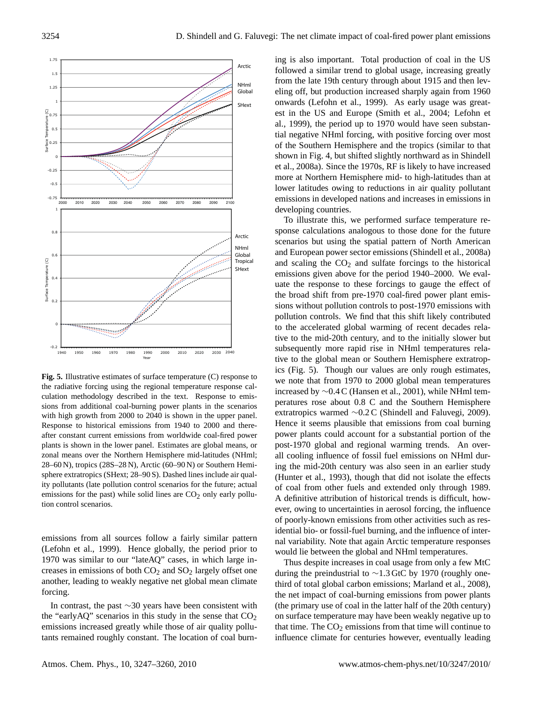

**Fig. 5.** Illustrative estimates of surface temperature (C) response to the radiative forcing using the regional temperature response calculation methodology described in the text. Response to emissions from additional coal-burning power plants in the scenarios with high growth from 2000 to 2040 is shown in the upper panel. Response to historical emissions from 1940 to 2000 and thereafter constant current emissions from worldwide coal-fired power plants is shown in the lower panel. Estimates are global means, or zonal means over the Northern Hemisphere mid-latitudes (NHml; 28–60 N), tropics (28S–28 N), Arctic (60–90 N) or Southern Hemisphere extratropics (SHext; 28–90 S). Dashed lines include air quality pollutants (late pollution control scenarios for the future; actual emissions for the past) while solid lines are  $CO<sub>2</sub>$  only early pollution control scenarios.

emissions from all sources follow a fairly similar pattern (Lefohn et al., 1999). Hence globally, the period prior to 1970 was similar to our "lateAQ" cases, in which large increases in emissions of both  $CO<sub>2</sub>$  and  $SO<sub>2</sub>$  largely offset one another, leading to weakly negative net global mean climate forcing.

In contrast, the past ∼30 years have been consistent with the "earlyAQ" scenarios in this study in the sense that  $CO<sub>2</sub>$ emissions increased greatly while those of air quality pollutants remained roughly constant. The location of coal burning is also important. Total production of coal in the US followed a similar trend to global usage, increasing greatly from the late 19th century through about 1915 and then leveling off, but production increased sharply again from 1960 onwards (Lefohn et al., 1999). As early usage was greatest in the US and Europe (Smith et al., 2004; Lefohn et al., 1999), the period up to 1970 would have seen substantial negative NHml forcing, with positive forcing over most of the Southern Hemisphere and the tropics (similar to that shown in Fig. 4, but shifted slightly northward as in Shindell et al., 2008a). Since the 1970s, RF is likely to have increased more at Northern Hemisphere mid- to high-latitudes than at lower latitudes owing to reductions in air quality pollutant emissions in developed nations and increases in emissions in developing countries.

To illustrate this, we performed surface temperature response calculations analogous to those done for the future scenarios but using the spatial pattern of North American and European power sector emissions (Shindell et al., 2008a) and scaling the  $CO<sub>2</sub>$  and sulfate forcings to the historical emissions given above for the period 1940–2000. We evaluate the response to these forcings to gauge the effect of the broad shift from pre-1970 coal-fired power plant emissions without pollution controls to post-1970 emissions with pollution controls. We find that this shift likely contributed to the accelerated global warming of recent decades relative to the mid-20th century, and to the initially slower but subsequently more rapid rise in NHml temperatures relative to the global mean or Southern Hemisphere extratropics (Fig. 5). Though our values are only rough estimates, we note that from 1970 to 2000 global mean temperatures increased by ∼0.4 C (Hansen et al., 2001), while NHml temperatures rose about 0.8 C and the Southern Hemisphere extratropics warmed ∼0.2 C (Shindell and Faluvegi, 2009). Hence it seems plausible that emissions from coal burning power plants could account for a substantial portion of the post-1970 global and regional warming trends. An overall cooling influence of fossil fuel emissions on NHml during the mid-20th century was also seen in an earlier study (Hunter et al., 1993), though that did not isolate the effects of coal from other fuels and extended only through 1989. A definitive attribution of historical trends is difficult, however, owing to uncertainties in aerosol forcing, the influence of poorly-known emissions from other activities such as residential bio- or fossil-fuel burning, and the influence of internal variability. Note that again Arctic temperature responses would lie between the global and NHml temperatures.

Thus despite increases in coal usage from only a few MtC during the preindustrial to ∼1.3 GtC by 1970 (roughly onethird of total global carbon emissions; Marland et al., 2008), the net impact of coal-burning emissions from power plants (the primary use of coal in the latter half of the 20th century) on surface temperature may have been weakly negative up to that time. The  $CO<sub>2</sub>$  emissions from that time will continue to influence climate for centuries however, eventually leading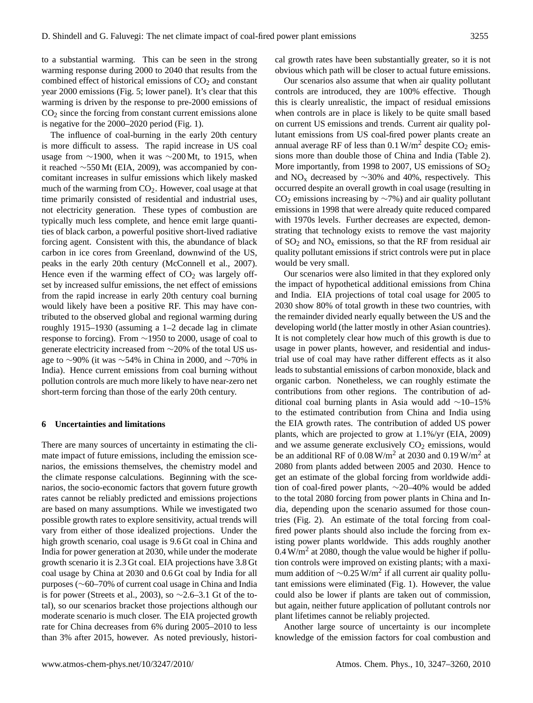to a substantial warming. This can be seen in the strong warming response during 2000 to 2040 that results from the combined effect of historical emissions of  $CO<sub>2</sub>$  and constant year 2000 emissions (Fig. 5; lower panel). It's clear that this warming is driven by the response to pre-2000 emissions of  $CO<sub>2</sub>$  since the forcing from constant current emissions alone is negative for the 2000–2020 period (Fig. 1).

The influence of coal-burning in the early 20th century is more difficult to assess. The rapid increase in US coal usage from ∼1900, when it was ∼200 Mt, to 1915, when it reached ∼550 Mt (EIA, 2009), was accompanied by concomitant increases in sulfur emissions which likely masked much of the warming from  $CO<sub>2</sub>$ . However, coal usage at that time primarily consisted of residential and industrial uses, not electricity generation. These types of combustion are typically much less complete, and hence emit large quantities of black carbon, a powerful positive short-lived radiative forcing agent. Consistent with this, the abundance of black carbon in ice cores from Greenland, downwind of the US, peaks in the early 20th century (McConnell et al., 2007). Hence even if the warming effect of  $CO<sub>2</sub>$  was largely offset by increased sulfur emissions, the net effect of emissions from the rapid increase in early 20th century coal burning would likely have been a positive RF. This may have contributed to the observed global and regional warming during roughly 1915–1930 (assuming a 1–2 decade lag in climate response to forcing). From ∼1950 to 2000, usage of coal to generate electricity increased from ∼20% of the total US usage to ∼90% (it was ∼54% in China in 2000, and ∼70% in India). Hence current emissions from coal burning without pollution controls are much more likely to have near-zero net short-term forcing than those of the early 20th century.

## **6 Uncertainties and limitations**

There are many sources of uncertainty in estimating the climate impact of future emissions, including the emission scenarios, the emissions themselves, the chemistry model and the climate response calculations. Beginning with the scenarios, the socio-economic factors that govern future growth rates cannot be reliably predicted and emissions projections are based on many assumptions. While we investigated two possible growth rates to explore sensitivity, actual trends will vary from either of those idealized projections. Under the high growth scenario, coal usage is 9.6 Gt coal in China and India for power generation at 2030, while under the moderate growth scenario it is 2.3 Gt coal. EIA projections have 3.8 Gt coal usage by China at 2030 and 0.6 Gt coal by India for all purposes (∼60–70% of current coal usage in China and India is for power (Streets et al., 2003), so  $\sim$ 2.6–3.1 Gt of the total), so our scenarios bracket those projections although our moderate scenario is much closer. The EIA projected growth rate for China decreases from 6% during 2005–2010 to less than 3% after 2015, however. As noted previously, historical growth rates have been substantially greater, so it is not obvious which path will be closer to actual future emissions.

Our scenarios also assume that when air quality pollutant controls are introduced, they are 100% effective. Though this is clearly unrealistic, the impact of residual emissions when controls are in place is likely to be quite small based on current US emissions and trends. Current air quality pollutant emissions from US coal-fired power plants create an annual average RF of less than  $0.1$  W/m<sup>2</sup> despite CO<sub>2</sub> emissions more than double those of China and India (Table 2). More importantly, from 1998 to 2007, US emissions of  $SO<sub>2</sub>$ and NO<sub>x</sub> decreased by  $\sim$ 30% and 40%, respectively. This occurred despite an overall growth in coal usage (resulting in  $CO<sub>2</sub>$  emissions increasing by  $\sim$ 7%) and air quality pollutant emissions in 1998 that were already quite reduced compared with 1970s levels. Further decreases are expected, demonstrating that technology exists to remove the vast majority of  $SO_2$  and  $NO_x$  emissions, so that the RF from residual air quality pollutant emissions if strict controls were put in place would be very small.

Our scenarios were also limited in that they explored only the impact of hypothetical additional emissions from China and India. EIA projections of total coal usage for 2005 to 2030 show 80% of total growth in these two countries, with the remainder divided nearly equally between the US and the developing world (the latter mostly in other Asian countries). It is not completely clear how much of this growth is due to usage in power plants, however, and residential and industrial use of coal may have rather different effects as it also leads to substantial emissions of carbon monoxide, black and organic carbon. Nonetheless, we can roughly estimate the contributions from other regions. The contribution of additional coal burning plants in Asia would add ∼10–15% to the estimated contribution from China and India using the EIA growth rates. The contribution of added US power plants, which are projected to grow at 1.1%/yr (EIA, 2009) and we assume generate exclusively  $CO<sub>2</sub>$  emissions, would be an additional RF of  $0.08 \text{ W/m}^2$  at 2030 and  $0.19 \text{ W/m}^2$  at 2080 from plants added between 2005 and 2030. Hence to get an estimate of the global forcing from worldwide addition of coal-fired power plants, ∼20–40% would be added to the total 2080 forcing from power plants in China and India, depending upon the scenario assumed for those countries (Fig. 2). An estimate of the total forcing from coalfired power plants should also include the forcing from existing power plants worldwide. This adds roughly another  $0.4$  W/m<sup>2</sup> at 2080, though the value would be higher if pollution controls were improved on existing plants; with a maximum addition of  $\sim$ 0.25 W/m<sup>2</sup> if all current air quality pollutant emissions were eliminated (Fig. 1). However, the value could also be lower if plants are taken out of commission, but again, neither future application of pollutant controls nor plant lifetimes cannot be reliably projected.

Another large source of uncertainty is our incomplete knowledge of the emission factors for coal combustion and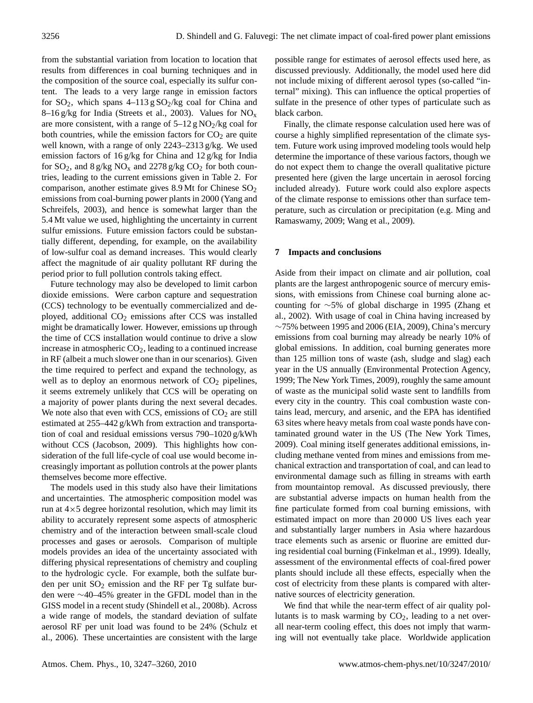from the substantial variation from location to location that results from differences in coal burning techniques and in the composition of the source coal, especially its sulfur content. The leads to a very large range in emission factors for  $SO_2$ , which spans  $4-113$  g  $SO_2/kg$  coal for China and 8–16 g/kg for India (Streets et al., 2003). Values for  $NO<sub>x</sub>$ are more consistent, with a range of  $5-12$  g NO<sub>2</sub>/kg coal for both countries, while the emission factors for  $CO<sub>2</sub>$  are quite well known, with a range of only 2243–2313 g/kg. We used emission factors of 16 g/kg for China and 12 g/kg for India for  $SO_2$ , and  $8 g/kg NO_x$  and  $2278 g/kg CO_2$  for both countries, leading to the current emissions given in Table 2. For comparison, another estimate gives 8.9 Mt for Chinese SO<sub>2</sub> emissions from coal-burning power plants in 2000 (Yang and Schreifels, 2003), and hence is somewhat larger than the 5.4 Mt value we used, highlighting the uncertainty in current sulfur emissions. Future emission factors could be substantially different, depending, for example, on the availability of low-sulfur coal as demand increases. This would clearly affect the magnitude of air quality pollutant RF during the period prior to full pollution controls taking effect.

Future technology may also be developed to limit carbon dioxide emissions. Were carbon capture and sequestration (CCS) technology to be eventually commercialized and deployed, additional  $CO<sub>2</sub>$  emissions after CCS was installed might be dramatically lower. However, emissions up through the time of CCS installation would continue to drive a slow increase in atmospheric  $CO<sub>2</sub>$ , leading to a continued increase in RF (albeit a much slower one than in our scenarios). Given the time required to perfect and expand the technology, as well as to deploy an enormous network of  $CO<sub>2</sub>$  pipelines, it seems extremely unlikely that CCS will be operating on a majority of power plants during the next several decades. We note also that even with CCS, emissions of  $CO<sub>2</sub>$  are still estimated at 255–442 g/kWh from extraction and transportation of coal and residual emissions versus 790–1020 g/kWh without CCS (Jacobson, 2009). This highlights how consideration of the full life-cycle of coal use would become increasingly important as pollution controls at the power plants themselves become more effective.

The models used in this study also have their limitations and uncertainties. The atmospheric composition model was run at  $4\times5$  degree horizontal resolution, which may limit its ability to accurately represent some aspects of atmospheric chemistry and of the interaction between small-scale cloud processes and gases or aerosols. Comparison of multiple models provides an idea of the uncertainty associated with differing physical representations of chemistry and coupling to the hydrologic cycle. For example, both the sulfate burden per unit  $SO_2$  emission and the RF per Tg sulfate burden were ∼40–45% greater in the GFDL model than in the GISS model in a recent study (Shindell et al., 2008b). Across a wide range of models, the standard deviation of sulfate aerosol RF per unit load was found to be 24% (Schulz et al., 2006). These uncertainties are consistent with the large possible range for estimates of aerosol effects used here, as discussed previously. Additionally, the model used here did not include mixing of different aerosol types (so-called "internal" mixing). This can influence the optical properties of sulfate in the presence of other types of particulate such as black carbon.

Finally, the climate response calculation used here was of course a highly simplified representation of the climate system. Future work using improved modeling tools would help determine the importance of these various factors, though we do not expect them to change the overall qualitative picture presented here (given the large uncertain in aerosol forcing included already). Future work could also explore aspects of the climate response to emissions other than surface temperature, such as circulation or precipitation (e.g. Ming and Ramaswamy, 2009; Wang et al., 2009).

## **7 Impacts and conclusions**

Aside from their impact on climate and air pollution, coal plants are the largest anthropogenic source of mercury emissions, with emissions from Chinese coal burning alone accounting for ∼5% of global discharge in 1995 (Zhang et al., 2002). With usage of coal in China having increased by  $~\sim$ 75% between 1995 and 2006 (EIA, 2009), China's mercury emissions from coal burning may already be nearly 10% of global emissions. In addition, coal burning generates more than 125 million tons of waste (ash, sludge and slag) each year in the US annually (Environmental Protection Agency, 1999; The New York Times, 2009), roughly the same amount of waste as the municipal solid waste sent to landfills from every city in the country. This coal combustion waste contains lead, mercury, and arsenic, and the EPA has identified 63 sites where heavy metals from coal waste ponds have contaminated ground water in the US (The New York Times, 2009). Coal mining itself generates additional emissions, including methane vented from mines and emissions from mechanical extraction and transportation of coal, and can lead to environmental damage such as filling in streams with earth from mountaintop removal. As discussed previously, there are substantial adverse impacts on human health from the fine particulate formed from coal burning emissions, with estimated impact on more than 20 000 US lives each year and substantially larger numbers in Asia where hazardous trace elements such as arsenic or fluorine are emitted during residential coal burning (Finkelman et al., 1999). Ideally, assessment of the environmental effects of coal-fired power plants should include all these effects, especially when the cost of electricity from these plants is compared with alternative sources of electricity generation.

We find that while the near-term effect of air quality pollutants is to mask warming by  $CO<sub>2</sub>$ , leading to a net overall near-term cooling effect, this does not imply that warming will not eventually take place. Worldwide application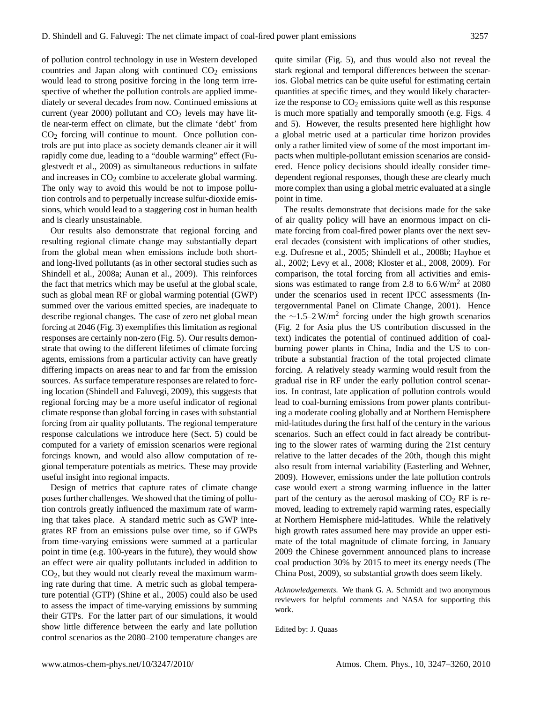of pollution control technology in use in Western developed countries and Japan along with continued  $CO<sub>2</sub>$  emissions would lead to strong positive forcing in the long term irrespective of whether the pollution controls are applied immediately or several decades from now. Continued emissions at current (year 2000) pollutant and  $CO<sub>2</sub>$  levels may have little near-term effect on climate, but the climate 'debt' from CO<sup>2</sup> forcing will continue to mount. Once pollution controls are put into place as society demands cleaner air it will rapidly come due, leading to a "double warming" effect (Fuglestvedt et al., 2009) as simultaneous reductions in sulfate and increases in  $CO<sub>2</sub>$  combine to accelerate global warming. The only way to avoid this would be not to impose pollution controls and to perpetually increase sulfur-dioxide emissions, which would lead to a staggering cost in human health and is clearly unsustainable.

Our results also demonstrate that regional forcing and resulting regional climate change may substantially depart from the global mean when emissions include both shortand long-lived pollutants (as in other sectoral studies such as Shindell et al., 2008a; Aunan et al., 2009). This reinforces the fact that metrics which may be useful at the global scale, such as global mean RF or global warming potential (GWP) summed over the various emitted species, are inadequate to describe regional changes. The case of zero net global mean forcing at 2046 (Fig. 3) exemplifies this limitation as regional responses are certainly non-zero (Fig. 5). Our results demonstrate that owing to the different lifetimes of climate forcing agents, emissions from a particular activity can have greatly differing impacts on areas near to and far from the emission sources. As surface temperature responses are related to forcing location (Shindell and Faluvegi, 2009), this suggests that regional forcing may be a more useful indicator of regional climate response than global forcing in cases with substantial forcing from air quality pollutants. The regional temperature response calculations we introduce here (Sect. 5) could be computed for a variety of emission scenarios were regional forcings known, and would also allow computation of regional temperature potentials as metrics. These may provide useful insight into regional impacts.

Design of metrics that capture rates of climate change poses further challenges. We showed that the timing of pollution controls greatly influenced the maximum rate of warming that takes place. A standard metric such as GWP integrates RF from an emissions pulse over time, so if GWPs from time-varying emissions were summed at a particular point in time (e.g. 100-years in the future), they would show an effect were air quality pollutants included in addition to  $CO<sub>2</sub>$ , but they would not clearly reveal the maximum warming rate during that time. A metric such as global temperature potential (GTP) (Shine et al., 2005) could also be used to assess the impact of time-varying emissions by summing their GTPs. For the latter part of our simulations, it would show little difference between the early and late pollution control scenarios as the 2080–2100 temperature changes are quite similar (Fig. 5), and thus would also not reveal the stark regional and temporal differences between the scenarios. Global metrics can be quite useful for estimating certain quantities at specific times, and they would likely characterize the response to  $CO<sub>2</sub>$  emissions quite well as this response is much more spatially and temporally smooth (e.g. Figs. 4 and 5). However, the results presented here highlight how a global metric used at a particular time horizon provides only a rather limited view of some of the most important impacts when multiple-pollutant emission scenarios are considered. Hence policy decisions should ideally consider timedependent regional responses, though these are clearly much more complex than using a global metric evaluated at a single point in time.

The results demonstrate that decisions made for the sake of air quality policy will have an enormous impact on climate forcing from coal-fired power plants over the next several decades (consistent with implications of other studies, e.g. Dufresne et al., 2005; Shindell et al., 2008b; Hayhoe et al., 2002; Levy et al., 2008; Kloster et al., 2008, 2009). For comparison, the total forcing from all activities and emissions was estimated to range from 2.8 to  $6.6 \,\mathrm{W/m^2}$  at 2080 under the scenarios used in recent IPCC assessments (Intergovernmental Panel on Climate Change, 2001). Hence the ∼1.5–2 W/m<sup>2</sup> forcing under the high growth scenarios (Fig. 2 for Asia plus the US contribution discussed in the text) indicates the potential of continued addition of coalburning power plants in China, India and the US to contribute a substantial fraction of the total projected climate forcing. A relatively steady warming would result from the gradual rise in RF under the early pollution control scenarios. In contrast, late application of pollution controls would lead to coal-burning emissions from power plants contributing a moderate cooling globally and at Northern Hemisphere mid-latitudes during the first half of the century in the various scenarios. Such an effect could in fact already be contributing to the slower rates of warming during the 21st century relative to the latter decades of the 20th, though this might also result from internal variability (Easterling and Wehner, 2009). However, emissions under the late pollution controls case would exert a strong warming influence in the latter part of the century as the aerosol masking of  $CO<sub>2</sub>$  RF is removed, leading to extremely rapid warming rates, especially at Northern Hemisphere mid-latitudes. While the relatively high growth rates assumed here may provide an upper estimate of the total magnitude of climate forcing, in January 2009 the Chinese government announced plans to increase coal production 30% by 2015 to meet its energy needs (The China Post, 2009), so substantial growth does seem likely.

*Acknowledgements.* We thank G. A. Schmidt and two anonymous reviewers for helpful comments and NASA for supporting this work.

Edited by: J. Quaas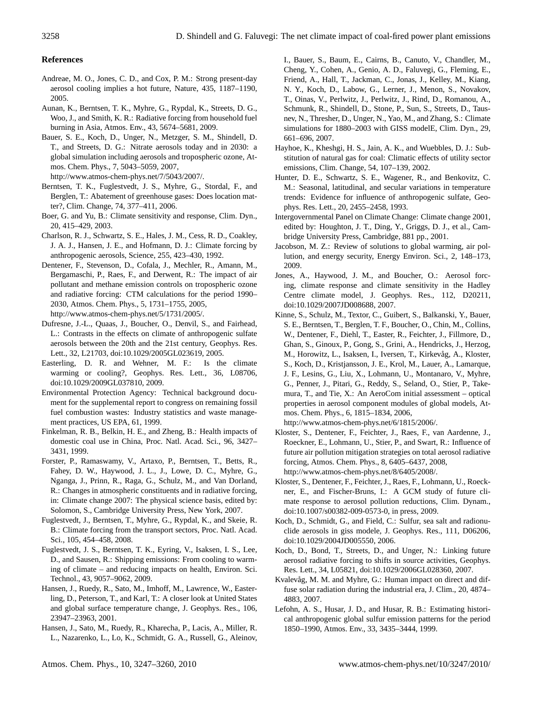## **References**

- Andreae, M. O., Jones, C. D., and Cox, P. M.: Strong present-day aerosol cooling implies a hot future, Nature, 435, 1187–1190, 2005.
- Aunan, K., Berntsen, T. K., Myhre, G., Rypdal, K., Streets, D. G., Woo, J., and Smith, K. R.: Radiative forcing from household fuel burning in Asia, Atmos. Env., 43, 5674–5681, 2009.
- Bauer, S. E., Koch, D., Unger, N., Metzger, S. M., Shindell, D. T., and Streets, D. G.: Nitrate aerosols today and in 2030: a global simulation including aerosols and tropospheric ozone, Atmos. Chem. Phys., 7, 5043–5059, 2007, [http://www.atmos-chem-phys.net/7/5043/2007/.](http://www.atmos-chem-phys.net/7/5043/2007/)
- Berntsen, T. K., Fuglestvedt, J. S., Myhre, G., Stordal, F., and Berglen, T.: Abatement of greenhouse gases: Does location matter?, Clim. Change, 74, 377–411, 2006.
- Boer, G. and Yu, B.: Climate sensitivity and response, Clim. Dyn., 20, 415–429, 2003.
- Charlson, R. J., Schwartz, S. E., Hales, J. M., Cess, R. D., Coakley, J. A. J., Hansen, J. E., and Hofmann, D. J.: Climate forcing by anthropogenic aerosols, Science, 255, 423–430, 1992.
- Dentener, F., Stevenson, D., Cofala, J., Mechler, R., Amann, M., Bergamaschi, P., Raes, F., and Derwent, R.: The impact of air pollutant and methane emission controls on tropospheric ozone and radiative forcing: CTM calculations for the period 1990– 2030, Atmos. Chem. Phys., 5, 1731–1755, 2005, [http://www.atmos-chem-phys.net/5/1731/2005/.](http://www.atmos-chem-phys.net/5/1731/2005/)
- Dufresne, J.-L., Quaas, J., Boucher, O., Denvil, S., and Fairhead, L.: Contrasts in the effects on climate of anthropogenic sulfate aerosols between the 20th and the 21st century, Geophys. Res. Lett., 32, L21703, doi:10.1029/2005GL023619, 2005.
- Easterling, D. R. and Wehner, M. F.: Is the climate warming or cooling?, Geophys. Res. Lett., 36, L08706, doi:10.1029/2009GL037810, 2009.
- Environmental Protection Agency: Technical background document for the supplemental report to congress on remaining fossil fuel combustion wastes: Industry statistics and waste management practices, US EPA, 61, 1999.
- Finkelman, R. B., Belkin, H. E., and Zheng, B.: Health impacts of domestic coal use in China, Proc. Natl. Acad. Sci., 96, 3427– 3431, 1999.
- Forster, P., Ramaswamy, V., Artaxo, P., Berntsen, T., Betts, R., Fahey, D. W., Haywood, J. L., J., Lowe, D. C., Myhre, G., Nganga, J., Prinn, R., Raga, G., Schulz, M., and Van Dorland, R.: Changes in atmospheric constituents and in radiative forcing, in: Climate change 2007: The physical science basis, edited by: Solomon, S., Cambridge University Press, New York, 2007.
- Fuglestvedt, J., Berntsen, T., Myhre, G., Rypdal, K., and Skeie, R. B.: Climate forcing from the transport sectors, Proc. Natl. Acad. Sci., 105, 454–458, 2008.
- Fuglestvedt, J. S., Berntsen, T. K., Eyring, V., Isaksen, I. S., Lee, D., and Sausen, R.: Shipping emissions: From cooling to warming of climate – and reducing impacts on health, Environ. Sci. Technol., 43, 9057–9062, 2009.
- Hansen, J., Ruedy, R., Sato, M., Imhoff, M., Lawrence, W., Easterling, D., Peterson, T., and Karl, T.: A closer look at United States and global surface temperature change, J. Geophys. Res., 106, 23947–23963, 2001.
- Hansen, J., Sato, M., Ruedy, R., Kharecha, P., Lacis, A., Miller, R. L., Nazarenko, L., Lo, K., Schmidt, G. A., Russell, G., Aleinov,

I., Bauer, S., Baum, E., Cairns, B., Canuto, V., Chandler, M., Cheng, Y., Cohen, A., Genio, A. D., Faluvegi, G., Fleming, E., Friend, A., Hall, T., Jackman, C., Jonas, J., Kelley, M., Kiang, N. Y., Koch, D., Labow, G., Lerner, J., Menon, S., Novakov, T., Oinas, V., Perlwitz, J., Perlwitz, J., Rind, D., Romanou, A., Schmunk, R., Shindell, D., Stone, P., Sun, S., Streets, D., Tausnev, N., Thresher, D., Unger, N., Yao, M., and Zhang, S.: Climate simulations for 1880–2003 with GISS modelE, Clim. Dyn., 29, 661–696, 2007.

- Hayhoe, K., Kheshgi, H. S., Jain, A. K., and Wuebbles, D. J.: Substitution of natural gas for coal: Climatic effects of utility sector emissions, Clim. Change, 54, 107–139, 2002.
- Hunter, D. E., Schwartz, S. E., Wagener, R., and Benkovitz, C. M.: Seasonal, latitudinal, and secular variations in temperature trends: Evidence for influence of anthropogenic sulfate, Geophys. Res. Lett., 20, 2455–2458, 1993.
- Intergovernmental Panel on Climate Change: Climate change 2001, edited by: Houghton, J. T., Ding, Y., Griggs, D. J., et al., Cambridge University Press, Cambridge, 881 pp., 2001.
- Jacobson, M. Z.: Review of solutions to global warming, air pollution, and energy security, Energy Environ. Sci., 2, 148–173, 2009.
- Jones, A., Haywood, J. M., and Boucher, O.: Aerosol forcing, climate response and climate sensitivity in the Hadley Centre climate model, J. Geophys. Res., 112, D20211, doi:10.1029/2007JD008688, 2007.
- Kinne, S., Schulz, M., Textor, C., Guibert, S., Balkanski, Y., Bauer, S. E., Berntsen, T., Berglen, T. F., Boucher, O., Chin, M., Collins, W., Dentener, F., Diehl, T., Easter, R., Feichter, J., Fillmore, D., Ghan, S., Ginoux, P., Gong, S., Grini, A., Hendricks, J., Herzog, M., Horowitz, L., Isaksen, I., Iversen, T., Kirkevåg, A., Kloster, S., Koch, D., Kristjansson, J. E., Krol, M., Lauer, A., Lamarque, J. F., Lesins, G., Liu, X., Lohmann, U., Montanaro, V., Myhre, G., Penner, J., Pitari, G., Reddy, S., Seland, O., Stier, P., Takemura, T., and Tie, X.: An AeroCom initial assessment – optical properties in aerosol component modules of global models, Atmos. Chem. Phys., 6, 1815–1834, 2006,

[http://www.atmos-chem-phys.net/6/1815/2006/.](http://www.atmos-chem-phys.net/6/1815/2006/)

Kloster, S., Dentener, F., Feichter, J., Raes, F., van Aardenne, J., Roeckner, E., Lohmann, U., Stier, P., and Swart, R.: Influence of future air pollution mitigation strategies on total aerosol radiative forcing, Atmos. Chem. Phys., 8, 6405–6437, 2008, [http://www.atmos-chem-phys.net/8/6405/2008/.](http://www.atmos-chem-phys.net/8/6405/2008/)

Kloster, S., Dentener, F., Feichter, J., Raes, F., Lohmann, U., Roeckner, E., and Fischer-Bruns, I.: A GCM study of future cli-

- mate response to aerosol pollution reductions, Clim. Dynam., doi:10.1007/s00382-009-0573-0, in press, 2009. Koch, D., Schmidt, G., and Field, C.: Sulfur, sea salt and radionuclide aerosols in giss modele, J. Geophys. Res., 111, D06206,
- doi:10.1029/2004JD005550, 2006. Koch, D., Bond, T., Streets, D., and Unger, N.: Linking future
- aerosol radiative forcing to shifts in source activities, Geophys. Res. Lett., 34, L05821, doi:10.1029/2006GL028360, 2007.
- Kvalevåg, M. M. and Myhre, G.: Human impact on direct and diffuse solar radiation during the industrial era, J. Clim., 20, 4874– 4883, 2007.
- Lefohn, A. S., Husar, J. D., and Husar, R. B.: Estimating historical anthropogenic global sulfur emission patterns for the period 1850–1990, Atmos. Env., 33, 3435–3444, 1999.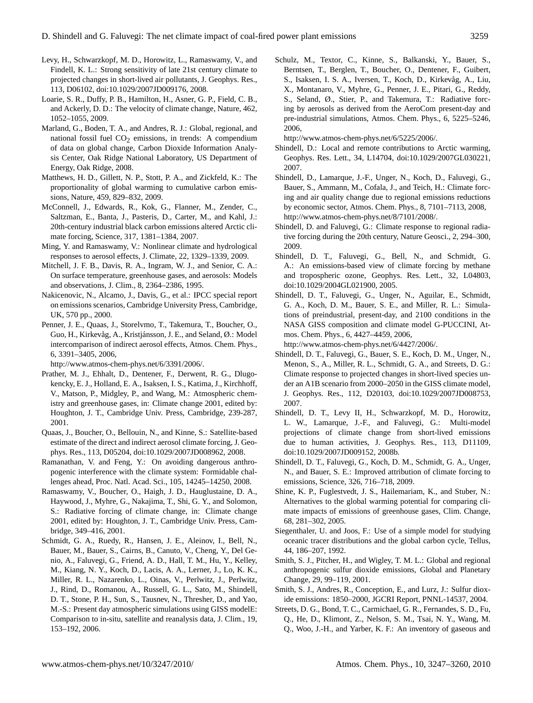- Levy, H., Schwarzkopf, M. D., Horowitz, L., Ramaswamy, V., and Findell, K. L.: Strong sensitivity of late 21st century climate to projected changes in short-lived air pollutants, J. Geophys. Res., 113, D06102, doi:10.1029/2007JD009176, 2008.
- Loarie, S. R., Duffy, P. B., Hamilton, H., Asner, G. P., Field, C. B., and Ackerly, D. D.: The velocity of climate change, Nature, 462, 1052–1055, 2009.
- Marland, G., Boden, T. A., and Andres, R. J.: Global, regional, and national fossil fuel  $CO<sub>2</sub>$  emissions, in trends: A compendium of data on global change, Carbon Dioxide Information Analysis Center, Oak Ridge National Laboratory, US Department of Energy, Oak Ridge, 2008.
- Matthews, H. D., Gillett, N. P., Stott, P. A., and Zickfeld, K.: The proportionality of global warming to cumulative carbon emissions, Nature, 459, 829–832, 2009.
- McConnell, J., Edwards, R., Kok, G., Flanner, M., Zender, C., Saltzman, E., Banta, J., Pasteris, D., Carter, M., and Kahl, J.: 20th-century industrial black carbon emissions altered Arctic climate forcing, Science, 317, 1381–1384, 2007.
- Ming, Y. and Ramaswamy, V.: Nonlinear climate and hydrological responses to aerosol effects, J. Climate, 22, 1329–1339, 2009.
- Mitchell, J. F. B., Davis, R. A., Ingram, W. J., and Senior, C. A.: On surface temperature, greenhouse gases, and aerosols: Models and observations, J. Clim., 8, 2364–2386, 1995.
- Nakicenovic, N., Alcamo, J., Davis, G., et al.: IPCC special report on emissions scenarios, Cambridge University Press, Cambridge, UK, 570 pp., 2000.
- Penner, J. E., Quaas, J., Storelvmo, T., Takemura, T., Boucher, O., Guo, H., Kirkevåg, A., Kristjánsson, J. E., and Seland, Ø.: Model intercomparison of indirect aerosol effects, Atmos. Chem. Phys., 6, 3391–3405, 2006,

[http://www.atmos-chem-phys.net/6/3391/2006/.](http://www.atmos-chem-phys.net/6/3391/2006/)

- Prather, M. J., Ehhalt, D., Dentener, F., Derwent, R. G., Dlugokencky, E. J., Holland, E. A., Isaksen, I. S., Katima, J., Kirchhoff, V., Matson, P., Midgley, P., and Wang, M.: Atmospheric chemistry and greenhouse gases, in: Climate change 2001, edited by: Houghton, J. T., Cambridge Univ. Press, Cambridge, 239-287, 2001.
- Quaas, J., Boucher, O., Bellouin, N., and Kinne, S.: Satellite-based estimate of the direct and indirect aerosol climate forcing, J. Geophys. Res., 113, D05204, doi:10.1029/2007JD008962, 2008.
- Ramanathan, V. and Feng, Y.: On avoiding dangerous anthropogenic interference with the climate system: Formidable challenges ahead, Proc. Natl. Acad. Sci., 105, 14245–14250, 2008.
- Ramaswamy, V., Boucher, O., Haigh, J. D., Hauglustaine, D. A., Haywood, J., Myhre, G., Nakajima, T., Shi, G. Y., and Solomon, S.: Radiative forcing of climate change, in: Climate change 2001, edited by: Houghton, J. T., Cambridge Univ. Press, Cambridge, 349–416, 2001.
- Schmidt, G. A., Ruedy, R., Hansen, J. E., Aleinov, I., Bell, N., Bauer, M., Bauer, S., Cairns, B., Canuto, V., Cheng, Y., Del Genio, A., Faluvegi, G., Friend, A. D., Hall, T. M., Hu, Y., Kelley, M., Kiang, N. Y., Koch, D., Lacis, A. A., Lerner, J., Lo, K. K., Miller, R. L., Nazarenko, L., Oinas, V., Perlwitz, J., Perlwitz, J., Rind, D., Romanou, A., Russell, G. L., Sato, M., Shindell, D. T., Stone, P. H., Sun, S., Tausnev, N., Thresher, D., and Yao, M.-S.: Present day atmospheric simulations using GISS modelE: Comparison to in-situ, satellite and reanalysis data, J. Clim., 19, 153–192, 2006.

Schulz, M., Textor, C., Kinne, S., Balkanski, Y., Bauer, S., Berntsen, T., Berglen, T., Boucher, O., Dentener, F., Guibert, S., Isaksen, I. S. A., Iversen, T., Koch, D., Kirkevåg, A., Liu, X., Montanaro, V., Myhre, G., Penner, J. E., Pitari, G., Reddy, S., Seland, Ø., Stier, P., and Takemura, T.: Radiative forcing by aerosols as derived from the AeroCom present-day and pre-industrial simulations, Atmos. Chem. Phys., 6, 5225–5246, 2006,

[http://www.atmos-chem-phys.net/6/5225/2006/.](http://www.atmos-chem-phys.net/6/5225/2006/)

- Shindell, D.: Local and remote contributions to Arctic warming, Geophys. Res. Lett., 34, L14704, doi:10.1029/2007GL030221, 2007.
- Shindell, D., Lamarque, J.-F., Unger, N., Koch, D., Faluvegi, G., Bauer, S., Ammann, M., Cofala, J., and Teich, H.: Climate forcing and air quality change due to regional emissions reductions by economic sector, Atmos. Chem. Phys., 8, 7101–7113, 2008, [http://www.atmos-chem-phys.net/8/7101/2008/.](http://www.atmos-chem-phys.net/8/7101/2008/)
- Shindell, D. and Faluvegi, G.: Climate response to regional radiative forcing during the 20th century, Nature Geosci., 2, 294–300, 2009.
- Shindell, D. T., Faluvegi, G., Bell, N., and Schmidt, G. A.: An emissions-based view of climate forcing by methane and tropospheric ozone, Geophys. Res. Lett., 32, L04803, doi:10.1029/2004GL021900, 2005.
- Shindell, D. T., Faluvegi, G., Unger, N., Aguilar, E., Schmidt, G. A., Koch, D. M., Bauer, S. E., and Miller, R. L.: Simulations of preindustrial, present-day, and 2100 conditions in the NASA GISS composition and climate model G-PUCCINI, Atmos. Chem. Phys., 6, 4427–4459, 2006,

[http://www.atmos-chem-phys.net/6/4427/2006/.](http://www.atmos-chem-phys.net/6/4427/2006/)

- Shindell, D. T., Faluvegi, G., Bauer, S. E., Koch, D. M., Unger, N., Menon, S., A., Miller, R. L., Schmidt, G. A., and Streets, D. G.: Climate response to projected changes in short-lived species under an A1B scenario from 2000–2050 in the GISS climate model, J. Geophys. Res., 112, D20103, doi:10.1029/2007JD008753, 2007.
- Shindell, D. T., Levy II, H., Schwarzkopf, M. D., Horowitz, L. W., Lamarque, J.-F., and Faluvegi, G.: Multi-model projections of climate change from short-lived emissions due to human activities, J. Geophys. Res., 113, D11109, doi:10.1029/2007JD009152, 2008b.
- Shindell, D. T., Faluvegi, G., Koch, D. M., Schmidt, G. A., Unger, N., and Bauer, S. E.: Improved attribution of climate forcing to emissions, Science, 326, 716–718, 2009.
- Shine, K. P., Fuglestvedt, J. S., Hailemariam, K., and Stuber, N.: Alternatives to the global warming potential for comparing climate impacts of emissions of greenhouse gases, Clim. Change, 68, 281–302, 2005.
- Siegenthaler, U. and Joos, F.: Use of a simple model for studying oceanic tracer distributions and the global carbon cycle, Tellus, 44, 186–207, 1992.
- Smith, S. J., Pitcher, H., and Wigley, T. M. L.: Global and regional anthropogenic sulfur dioxide emissions, Global and Planetary Change, 29, 99–119, 2001.
- Smith, S. J., Andres, R., Conception, E., and Lurz, J.: Sulfur dioxide emissions: 1850–2000, JGCRI Report, PNNL-14537, 2004.
- Streets, D. G., Bond, T. C., Carmichael, G. R., Fernandes, S. D., Fu, Q., He, D., Klimont, Z., Nelson, S. M., Tsai, N. Y., Wang, M. Q., Woo, J.-H., and Yarber, K. F.: An inventory of gaseous and